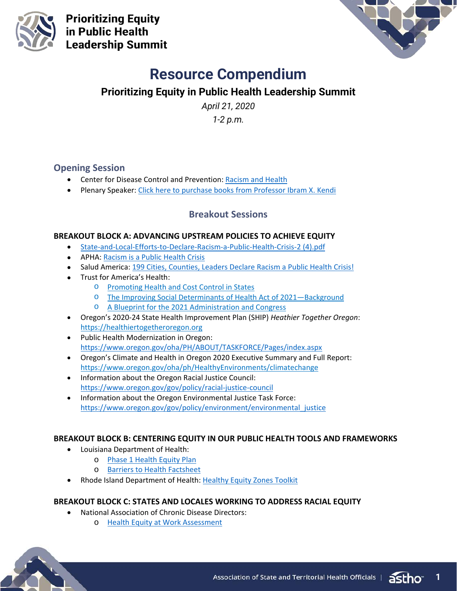

**Prioritizing Equity** in Public Health **Leadership Summit** 



# **Resource Compendium**

# **Prioritizing Equity in Public Health Leadership Summit**

*April 21, 2020*

*1-2 p.m.*

## **Opening Session**

- Center for Disease Control and Prevention: Racism and Health
- Plenary Speaker: [Click here to purchase books from Professor Ibram X. Kendi](https://www.ibramxkendi.com/books)

## **Breakout Sessions**

#### **BREAKOUT BLOCK A: ADVANCING UPSTREAM POLICIES TO ACHIEVE EQUITY**

- State-and-Local-Efforts-to-Declare-Racism-a-Public-Health-Crisis-2 (4).pdf
- APHA[: Racism is a Public Health Crisis](https://www.apha.org/topics-and-issues/health-equity/racism-and-health/racism-declarations)
- Salud America: [199 Cities, Counties, Leaders Declare Racism a Public Health Crisis!](https://salud-america.org/rising-number-of-cities-counties-are-declaring-racism-a-public-health-crisis/)
- Trust for America's Health:
	- o [Promoting Health and Cost Control in States](https://www.tfah.org/wp-content/uploads/2019/02/2019-PHACCS-Report_FINAL.pdf)
	- o [The Improving Social Determinants of Health Act of 2021—Background](https://www.tfah.org/wp-content/uploads/2020/08/SDOH-bill-fact-sheet.pdf)
	- o [A Blueprint for the 2021 Administration and Congress](https://www.tfah.org/report-details/blueprint2021/)
- Oregon's 2020-24 State Health Improvement Plan (SHIP) *Heathier Together Oregon*: [https://healthiertogetheroregon.org](https://urldefense.com/v3/__https:/healthiertogetheroregon.org/__;!!OxGzbBZ6!PcBHJORRE888vnYFtpEnkpOTXmon1gnyb5N3ZN51KdtWl2-6UzQQesrjNT4Ox-B1_sd0ImFk5DaN$)
- Public Health Modernization in Oregon: <https://www.oregon.gov/oha/PH/ABOUT/TASKFORCE/Pages/index.aspx>
- Oregon's Climate and Health in Oregon 2020 Executive Summary and Full Report: <https://www.oregon.gov/oha/ph/HealthyEnvironments/climatechange>
- Information about the Oregon Racial Justice Council: <https://www.oregon.gov/gov/policy/racial-justice-council>
- Information about the Oregon Environmental Justice Task Force: [https://www.oregon.gov/gov/policy/environment/environmental\\_justice](https://www.oregon.gov/gov/policy/environment/environmental_justice)

#### **BREAKOUT BLOCK B: CENTERING EQUITY IN OUR PUBLIC HEALTH TOOLS AND FRAMEWORKS**

- Louisiana Department of Health:
	- o [Phase 1 Health Equity Plan](https://ldh.la.gov/assets/cphe/Equity_Framework.pdf)
	- o [Barriers to Health Factsheet](https://ldh.la.gov/assets/cphe/resources/BTH-FACT-SHEET.pdf)
- Rhode Island Department of Health: [Healthy Equity Zones Toolkit](https://health.ri.gov/publications/toolkits/health-equity-zones.pdf)

#### **BREAKOUT BLOCK C: STATES AND LOCALES WORKING TO ADDRESS RACIAL EQUITY**

- National Association of Chronic Disease Directors:
	- o [Health Equity at Work Assessment](https://chronicdisease.org/health-equity-at-work-skills-assessment-of-public-health-staff/)



**1**